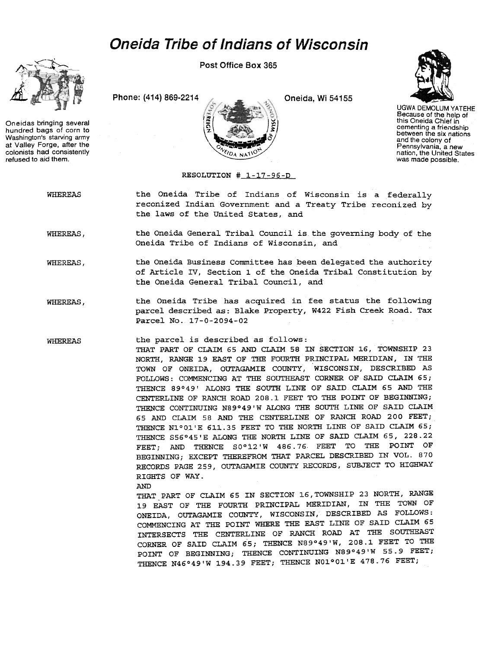## Oneida Tribe of Indians of Wisconsin



Oneidas bringing several<br>hundred bags of corn to<br> $\sqrt{2}$ <br>at Valley Force after the hundred bags of corn to Washington's starving army at Valley Forge, after the colonists had consistently refused to aid them.

Post Office Box 365

Phone: (414) 869-2214 Cneida, Wi 54155





UGWA DEMOLUM YATEHE Because of the help of this Oneida Chief in cementing a friendship between the six nations and the colony of Pennsylvania, a new nation, the United States was made possible.

## RESOLUTION # 1-17-96-D

WHEREAS the Oneida Tribe of Indians of Wisconsin is a federally reconized Indian Government and a Treaty Tribe reconized by the laws of the United States, and

WHEREAS, the Oneida General Tribal Council is the governing body of the Oneida Tribe of Indians of Wisconsin, and

- the Oneida Business Committee has been delegated the authority of Article IV, Section 1 of the Oneida Tribal Constitution by the Oneida General Tribal Council, and WHEREAS,
- the Oneida Tribe has acquired in fee status the following parcel described as: Blake Property, W422 Fish Creek Road. Tax Parcel No. 17-0-2094-02 WHEREAS,

WHEREAS the parcel is described as follows: THAT PART OF CLAIM 65 AND CLAIM 58 IN SECTION 16, TOWNSHIP 23 NORTH, RANGE 19 EAST OF THE FOURTH PRINCIPAL MERIDIAN, IN THE TOWN OF ONEIDA, OUTAGAMIE COUNTY, WISCONSIN, DESCRIBED AS FOLLOWS: COMMENCING AT THE SOUTHEAST CORNER OF SAID CLAIM 65; THENCE 89°49' ALONG THE SOUTH LINE OF SAID CLAIM 65 AND THE CENTERLINE OF RANCH ROAD 208.1 FEET TO THE POINT OF BEGINNING; THENCE CONTINUING N89°49'W ALONG THE SOUTH LINE OF SAID CLAIM 65 AND CLAIM 58 AND THE CENTERLINE OF RANCH ROAD 200 FEET; THENCE N1°01'E 611.35 FEET TO THE NORTH LINE OF SAID CLAIM 65; THENCE S56°45'E ALONG THE NORTH LINE OF SAID CLAIM 65,228.22 FEET; AND THENCE SO°12'W 486.76 FEET TO THE POINT OF BEGINNING; EXCEPT THEREFROM THAT PARCEL DESCRIBED IN VOL. 870 RECORDS PAGE 259, OUTAGAMIE COUNTY RECORDS, SUBJECT TO HIGHWAY RIGHTS OF WAY.

AND

THAT PART OF CLAIM 65 IN SECTION 16, TOWNSHIP 23 NORTH, RANGE 19 EAST OF THE FOURTH PRINCIPAL MERIDIAN, IN THE TOWN OF ONEIDA, OUTAGAMIE COUNTY, WISCONSIN, DESCRIBED AS FOLLOWS: COMMENCING AT THE POINT WHERE THE EAST LINE OF SAID CLAIM 65 INTERSECTS THE CENTERLINE OF RANCH ROAD AT THE SOUTHEAST CORNER OF SAID CLAIM 65; THENCE N89°49'W, 208.1 FEET TO THE POINT OF BEGINNING; THENCE CONTINUING N89°49'W 55.9 FEET; THENCE N46°49'W 194.39 FEET; THENCE N01°01'E 478.76 FEET;